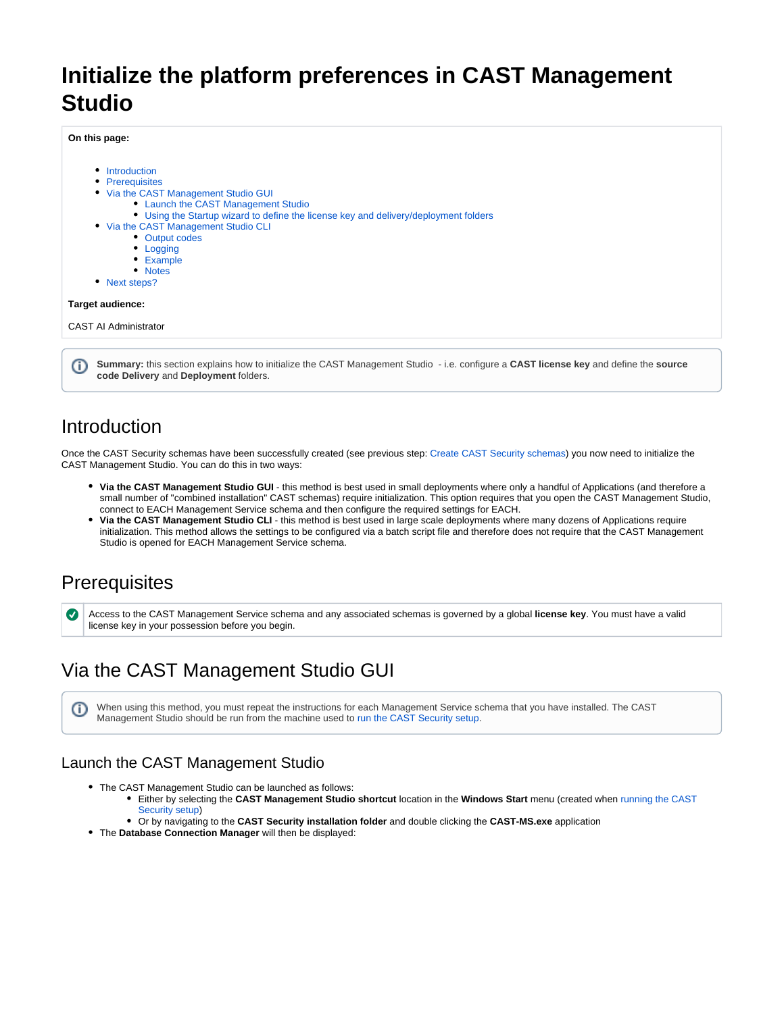# **Initialize the platform preferences in CAST Management Studio**

**On this page:**

• [Introduction](#page-0-0) • [Prerequisites](#page-0-1) • [Via the CAST Management Studio GUI](#page-0-2) [Launch the CAST Management Studio](#page-0-3) [Using the Startup wizard to define the license key and delivery/deployment folders](#page-1-0) • [Via the CAST Management Studio CLI](#page-4-0) • [Output codes](#page-5-0) • [Logging](#page-5-1) [Example](#page-5-2) [Notes](#page-6-0) • [Next steps?](#page-6-1) **Target audience:** CAST AI Administrator

**Summary:** this section explains how to initialize the CAST Management Studio - i.e. configure a **CAST license key** and define the **source code Delivery** and **Deployment** folders.

## <span id="page-0-0"></span>Introduction

O)

Once the CAST Security schemas have been successfully created (see previous step: [Create CAST Security schemas\)](https://doc.castsoftware.com/display/SECURITY/Create+CAST+Security+schemas) you now need to initialize the CAST Management Studio. You can do this in two ways:

- **Via the CAST Management Studio GUI** this method is best used in small deployments where only a handful of Applications (and therefore a small number of "combined installation" CAST schemas) require initialization. This option requires that you open the CAST Management Studio, connect to EACH Management Service schema and then configure the required settings for EACH.
- **Via the CAST Management Studio CLI** this method is best used in large scale deployments where many dozens of Applications require initialization. This method allows the settings to be configured via a batch script file and therefore does not require that the CAST Management Studio is opened for EACH Management Service schema.

### <span id="page-0-1"></span>**Prerequisites**

Access to the CAST Management Service schema and any associated schemas is governed by a global **license key**. You must have a valid license key in your possession before you begin.

# <span id="page-0-2"></span>Via the CAST Management Studio GUI

When using this method, you must repeat the instructions for each Management Service schema that you have installed. The CAST ➀ Management Studio should be run from the machine used to [run the CAST Security setup](https://doc.castsoftware.com/display/SECURITY/Run+the+CAST+Security+setup).

### <span id="page-0-3"></span>Launch the CAST Management Studio

- The CAST Management Studio can be launched as follows:
	- Either by selecting the **CAST Management Studio shortcut** location in the **Windows Start** menu (created when [running the CAST](https://doc.castsoftware.com/display/SECURITY/Run+the+CAST+Security+setup)  [Security setup\)](https://doc.castsoftware.com/display/SECURITY/Run+the+CAST+Security+setup)
	- Or by navigating to the **CAST Security installation folder** and double clicking the **CAST-MS.exe** application
- The **Database Connection Manager** will then be displayed: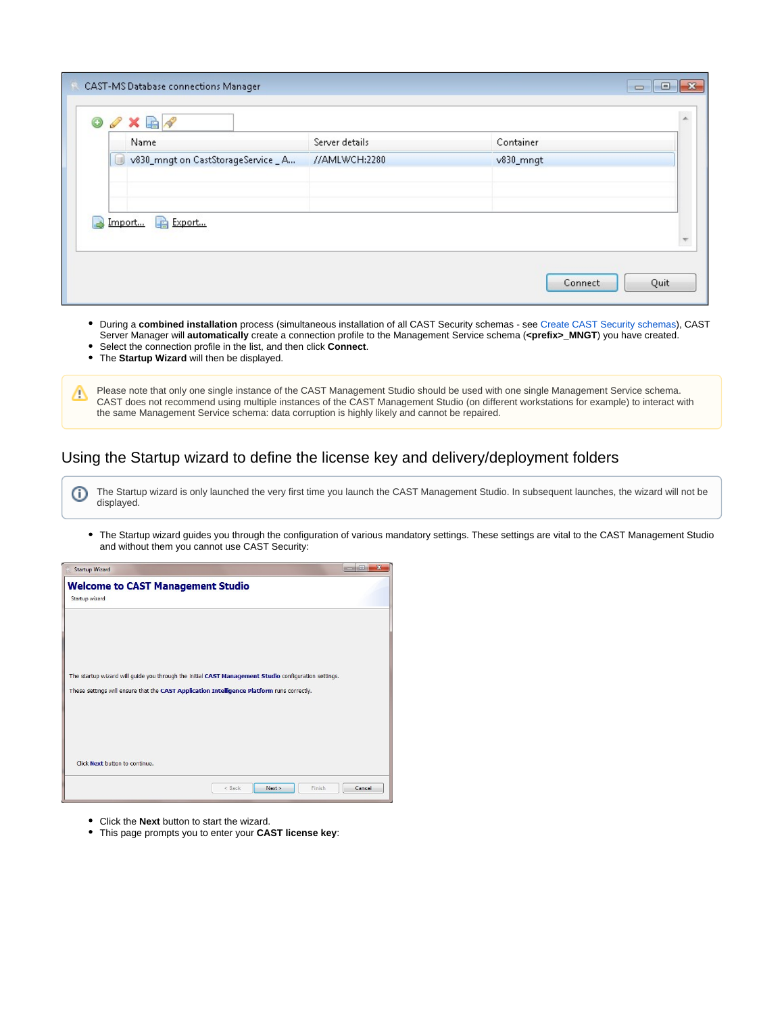|   | $0$ / $\times$ $\mathbb{R}$ $\wedge$<br>Name | Server details | Container              |  |
|---|----------------------------------------------|----------------|------------------------|--|
| 訓 | v830_mngt on CastStorageService _ A          | //AMLWCH:2280  | $v830$ <sub>mnqt</sub> |  |
|   |                                              |                |                        |  |
|   | Export<br>Import                             |                |                        |  |
|   |                                              |                |                        |  |

- During a **combined installation** process (simultaneous installation of all CAST Security schemas see [Create CAST Security schemas](https://doc.castsoftware.com/display/SECURITY/Create+CAST+Security+schemas)), CAST Server Manager will **automatically** create a connection profile to the Management Service schema (**<prefix>\_MNGT**) you have created.
- Select the connection profile in the list, and then click **Connect**.
- The **Startup Wizard** will then be displayed.
- Please note that only one single instance of the CAST Management Studio should be used with one single Management Service schema. CAST does not recommend using multiple instances of the CAST Management Studio (on different workstations for example) to interact with the same Management Service schema: data corruption is highly likely and cannot be repaired.

#### <span id="page-1-0"></span>Using the Startup wizard to define the license key and delivery/deployment folders

The Startup wizard is only launched the very first time you launch the CAST Management Studio. In subsequent launches, the wizard will not be ⊕ displayed.

The Startup wizard guides you through the configuration of various mandatory settings. These settings are vital to the CAST Management Studio and without them you cannot use CAST Security:

| <b>Startup Wizard</b>                                                                                                                                                                              |                              | 同      | $\overline{\mathbf{X}}$ |
|----------------------------------------------------------------------------------------------------------------------------------------------------------------------------------------------------|------------------------------|--------|-------------------------|
| <b>Welcome to CAST Management Studio</b><br>Startup wizard                                                                                                                                         |                              |        |                         |
|                                                                                                                                                                                                    |                              |        |                         |
| The startup wizard will guide you through the initial CAST Management Studio configuration settings.<br>These settings will ensure that the CAST Application Intelligence Platform runs correctly. |                              |        |                         |
|                                                                                                                                                                                                    |                              |        |                         |
| Click Next button to continue.                                                                                                                                                                     |                              |        |                         |
|                                                                                                                                                                                                    | Finish<br>Next ><br>$<$ Back | Cancel |                         |

- Click the **Next** button to start the wizard.
- This page prompts you to enter your **CAST license key**: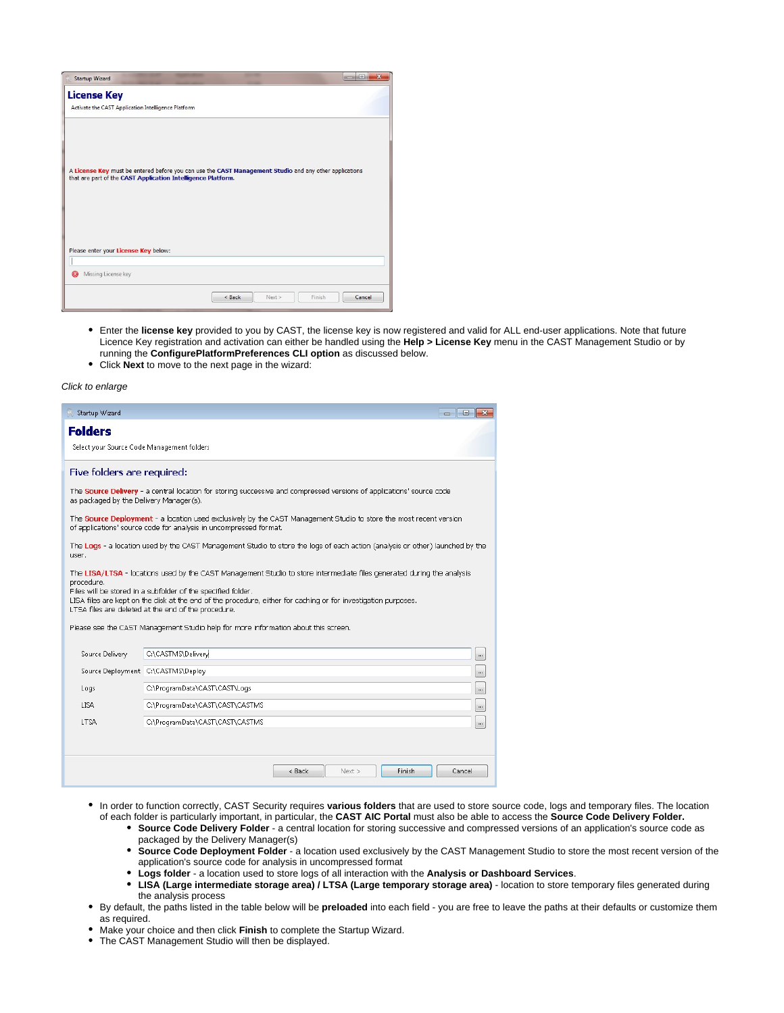| <b>Startup Wizard</b>                                                                                                                                                                                          |          |      |        | $\overline{\mathbf{z}}$<br>$\Box$ |
|----------------------------------------------------------------------------------------------------------------------------------------------------------------------------------------------------------------|----------|------|--------|-----------------------------------|
| <b>License Key</b><br>Activate the CAST Application Intelligence Platform                                                                                                                                      |          |      |        |                                   |
| A License Key must be entered before you can use the CAST Management Studio and any other applications<br>that are part of the CAST Application Intelligence Platform.<br>Please enter your License Key below: |          |      |        |                                   |
| Π                                                                                                                                                                                                              |          |      |        |                                   |
| Missing License key<br>×                                                                                                                                                                                       |          |      |        |                                   |
|                                                                                                                                                                                                                | $<$ Back | Next | Finish | Cancel                            |

- Enter the **license key** provided to you by CAST, the license key is now registered and valid for ALL end-user applications. Note that future Licence Key registration and activation can either be handled using the **Help > License Key** menu in the CAST Management Studio or by running the **ConfigurePlatformPreferences CLI option** as discussed below.
- Click **Next** to move to the next page in the wizard:

#### Click to enlarge

| Startup Wizard                                                                                                                                                                                                                                                                                                                                                                                                                                                      |                                                                                                                               |        |        |               | $-$<br>$\blacksquare$ |
|---------------------------------------------------------------------------------------------------------------------------------------------------------------------------------------------------------------------------------------------------------------------------------------------------------------------------------------------------------------------------------------------------------------------------------------------------------------------|-------------------------------------------------------------------------------------------------------------------------------|--------|--------|---------------|-----------------------|
| <b>Folders</b><br>Select your Source Code Management folders                                                                                                                                                                                                                                                                                                                                                                                                        |                                                                                                                               |        |        |               |                       |
| Five folders are required:                                                                                                                                                                                                                                                                                                                                                                                                                                          |                                                                                                                               |        |        |               |                       |
| The Source Delivery - a central location for storing successive and compressed versions of applications' source code<br>as packaged by the Delivery Manager(s).                                                                                                                                                                                                                                                                                                     |                                                                                                                               |        |        |               |                       |
| The Source Deployment - a location used exclusively by the CAST Management Studio to store the most recent version<br>of applications' source code for analysis in uncompressed format.                                                                                                                                                                                                                                                                             |                                                                                                                               |        |        |               |                       |
| user.                                                                                                                                                                                                                                                                                                                                                                                                                                                               | The Logs - a location used by the CAST Management Studio to store the logs of each action (analysis or other) launched by the |        |        |               |                       |
| The LISA/LTSA - locations used by the CAST Management Studio to store intermediate files generated during the analysis<br>procedure.<br>Files will be stored in a subfolder of the specified folder.<br>LISA files are kept on the disk at the end of the procedure, either for caching or for investigation purposes.<br>LTSA files are deleted at the end of the procedure.<br>Please see the CAST Management Studio help for more information about this screen. |                                                                                                                               |        |        |               |                       |
| Source Delivery                                                                                                                                                                                                                                                                                                                                                                                                                                                     | C:\CASTMS\Delivery                                                                                                            |        |        |               | $\cdots$              |
|                                                                                                                                                                                                                                                                                                                                                                                                                                                                     | Source Deployment C:\CASTMS\Deploy                                                                                            |        |        |               | $\cdots$              |
| Logs                                                                                                                                                                                                                                                                                                                                                                                                                                                                | C:\ProgramData\CAST\CAST\Logs                                                                                                 |        |        |               | $\cdots$              |
| <b>AZLI</b>                                                                                                                                                                                                                                                                                                                                                                                                                                                         | C:\ProgramData\CAST\CAST\CASTMS                                                                                               |        |        |               | $\cdots$              |
| <b>A2TI</b>                                                                                                                                                                                                                                                                                                                                                                                                                                                         | C:\ProgramData\CAST\CAST\CASTMS                                                                                               |        |        |               | $\cdots$              |
|                                                                                                                                                                                                                                                                                                                                                                                                                                                                     |                                                                                                                               | < Back | Next > | <b>Finish</b> | Cancel                |

- In order to function correctly, CAST Security requires **various folders** that are used to store source code, logs and temporary files. The location of each folder is particularly important, in particular, the **CAST AIC Portal** must also be able to access the **Source Code Delivery Folder.**
	- **Source Code Delivery Folder** a central location for storing successive and compressed versions of an application's source code as packaged by the Delivery Manager(s)
	- **Source Code Deployment Folder** a location used exclusively by the CAST Management Studio to store the most recent version of the application's source code for analysis in uncompressed format
	- **Logs folder** a location used to store logs of all interaction with the **Analysis or Dashboard Services**.
	- **LISA (Large intermediate storage area) / LTSA (Large temporary storage area)**  location to store temporary files generated during the analysis process
- By default, the paths listed in the table below will be **preloaded** into each field you are free to leave the paths at their defaults or customize them as required.
- Make your choice and then click **Finish** to complete the Startup Wizard.
- The CAST Management Studio will then be displayed.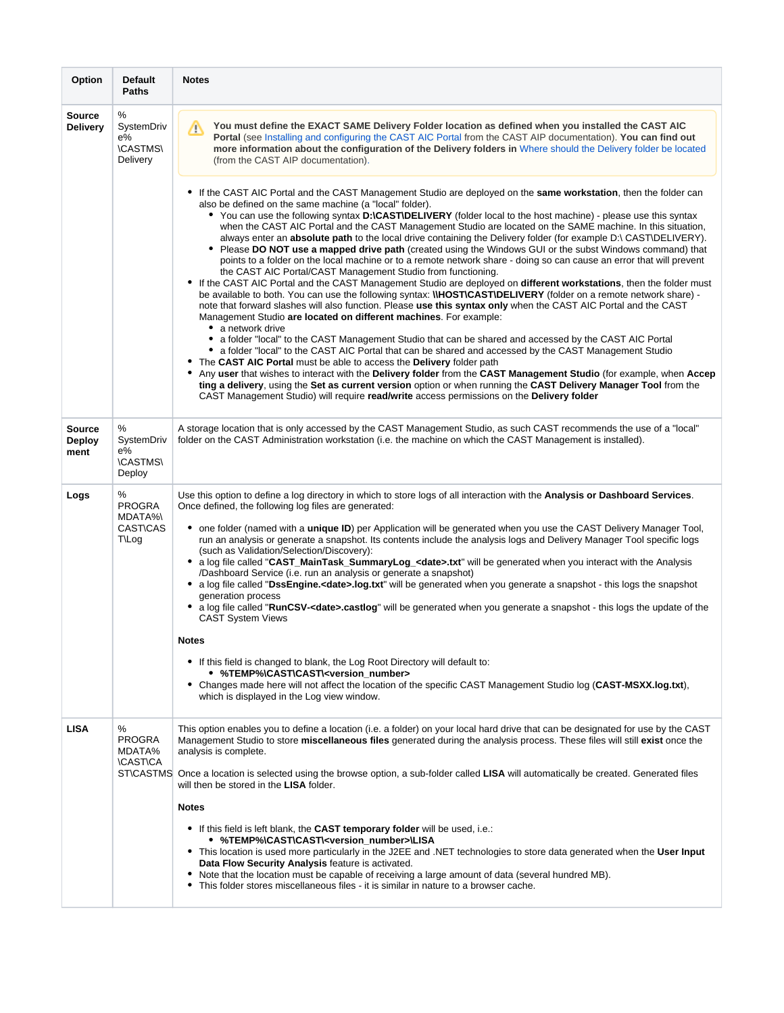| Option                           | <b>Default</b><br>Paths                                   | <b>Notes</b>                                                                                                                                                                                                                                                                                                                                                                                                                                                                                                                                                                                                                                                                                                                                                                                                                                                                                                                                                                                                                                                                                                                                                                                                                                                                                                                                                                                                                                                                                                                                                                                                                                                                                                                                                                                                                                                                                                                                                                                                                                                                                                                                                                                                                                                                                                                      |
|----------------------------------|-----------------------------------------------------------|-----------------------------------------------------------------------------------------------------------------------------------------------------------------------------------------------------------------------------------------------------------------------------------------------------------------------------------------------------------------------------------------------------------------------------------------------------------------------------------------------------------------------------------------------------------------------------------------------------------------------------------------------------------------------------------------------------------------------------------------------------------------------------------------------------------------------------------------------------------------------------------------------------------------------------------------------------------------------------------------------------------------------------------------------------------------------------------------------------------------------------------------------------------------------------------------------------------------------------------------------------------------------------------------------------------------------------------------------------------------------------------------------------------------------------------------------------------------------------------------------------------------------------------------------------------------------------------------------------------------------------------------------------------------------------------------------------------------------------------------------------------------------------------------------------------------------------------------------------------------------------------------------------------------------------------------------------------------------------------------------------------------------------------------------------------------------------------------------------------------------------------------------------------------------------------------------------------------------------------------------------------------------------------------------------------------------------------|
| <b>Source</b><br><b>Delivery</b> | ℅<br>SystemDriv<br>e%<br><b>\CASTMS\</b><br>Delivery      | You must define the EXACT SAME Delivery Folder location as defined when you installed the CAST AIC<br>Λ<br>Portal (see Installing and configuring the CAST AIC Portal from the CAST AIP documentation). You can find out<br>more information about the configuration of the Delivery folders in Where should the Delivery folder be located<br>(from the CAST AIP documentation).<br>• If the CAST AIC Portal and the CAST Management Studio are deployed on the same workstation, then the folder can<br>also be defined on the same machine (a "local" folder).<br>• You can use the following syntax D: CASTIDELIVERY (folder local to the host machine) - please use this syntax<br>when the CAST AIC Portal and the CAST Management Studio are located on the SAME machine. In this situation,<br>always enter an absolute path to the local drive containing the Delivery folder (for example D:\ CAST\DELIVERY).<br>• Please DO NOT use a mapped drive path (created using the Windows GUI or the subst Windows command) that<br>points to a folder on the local machine or to a remote network share - doing so can cause an error that will prevent<br>the CAST AIC Portal/CAST Management Studio from functioning.<br>• If the CAST AIC Portal and the CAST Management Studio are deployed on different workstations, then the folder must<br>be available to both. You can use the following syntax: <i>IIHOSTICASTIDELIVERY</i> (folder on a remote network share) -<br>note that forward slashes will also function. Please use this syntax only when the CAST AIC Portal and the CAST<br>Management Studio are located on different machines. For example:<br>• a network drive<br>• a folder "local" to the CAST Management Studio that can be shared and accessed by the CAST AIC Portal<br>• a folder "local" to the CAST AIC Portal that can be shared and accessed by the CAST Management Studio<br>The CAST AIC Portal must be able to access the Delivery folder path<br>Any user that wishes to interact with the Delivery folder from the CAST Management Studio (for example, when Accep<br>ting a delivery, using the Set as current version option or when running the CAST Delivery Manager Tool from the<br>CAST Management Studio) will require read/write access permissions on the Delivery folder |
| <b>Source</b><br>Deploy<br>ment  | ℅<br>SystemDriv<br>e%<br><b>\CASTMS\</b><br>Deploy        | A storage location that is only accessed by the CAST Management Studio, as such CAST recommends the use of a "local"<br>folder on the CAST Administration workstation (i.e. the machine on which the CAST Management is installed).                                                                                                                                                                                                                                                                                                                                                                                                                                                                                                                                                                                                                                                                                                                                                                                                                                                                                                                                                                                                                                                                                                                                                                                                                                                                                                                                                                                                                                                                                                                                                                                                                                                                                                                                                                                                                                                                                                                                                                                                                                                                                               |
| Logs                             | ℅<br><b>PROGRA</b><br>MDATA%\<br><b>CAST\CAS</b><br>T\Log | Use this option to define a log directory in which to store logs of all interaction with the Analysis or Dashboard Services.<br>Once defined, the following log files are generated:<br>• one folder (named with a <b>unique ID</b> ) per Application will be generated when you use the CAST Delivery Manager Tool,<br>run an analysis or generate a snapshot. Its contents include the analysis logs and Delivery Manager Tool specific logs<br>(such as Validation/Selection/Discovery):<br>• a log file called "CAST_MainTask_SummaryLog_ <date>.txt" will be generated when you interact with the Analysis<br/>/Dashboard Service (i.e. run an analysis or generate a snapshot)<br/>• a log file called "DssEngine.<date>.log.txt" will be generated when you generate a snapshot - this logs the snapshot<br/>generation process<br/>• a log file called "RunCSV-<date>.castlog" will be generated when you generate a snapshot - this logs the update of the<br/><b>CAST System Views</b><br/><b>Notes</b><br/>• If this field is changed to blank, the Log Root Directory will default to:<br/>• %TEMP%\CAST\CAST\<version_number><br/>• Changes made here will not affect the location of the specific CAST Management Studio log (CAST-MSXX.log.txt),<br/>which is displayed in the Log view window.</version_number></date></date></date>                                                                                                                                                                                                                                                                                                                                                                                                                                                                                                                                                                                                                                                                                                                                                                                                                                                                                                                                                                              |
| <b>LISA</b>                      | ℅<br><b>PROGRA</b><br>MDATA%<br><b>\CAST\CA</b>           | This option enables you to define a location (i.e. a folder) on your local hard drive that can be designated for use by the CAST<br>Management Studio to store miscellaneous files generated during the analysis process. These files will still exist once the<br>analysis is complete.<br>ST\CASTMS Once a location is selected using the browse option, a sub-folder called LISA will automatically be created. Generated files<br>will then be stored in the LISA folder.<br><b>Notes</b><br>• If this field is left blank, the CAST temporary folder will be used, i.e.:<br>● %TEMP%\CAST\CAST\ <version_number>\LISA<br/>• This location is used more particularly in the J2EE and .NET technologies to store data generated when the User Input<br/>Data Flow Security Analysis feature is activated.<br/>Note that the location must be capable of receiving a large amount of data (several hundred MB).<br/>٠<br/>• This folder stores miscellaneous files - it is similar in nature to a browser cache.</version_number>                                                                                                                                                                                                                                                                                                                                                                                                                                                                                                                                                                                                                                                                                                                                                                                                                                                                                                                                                                                                                                                                                                                                                                                                                                                                                               |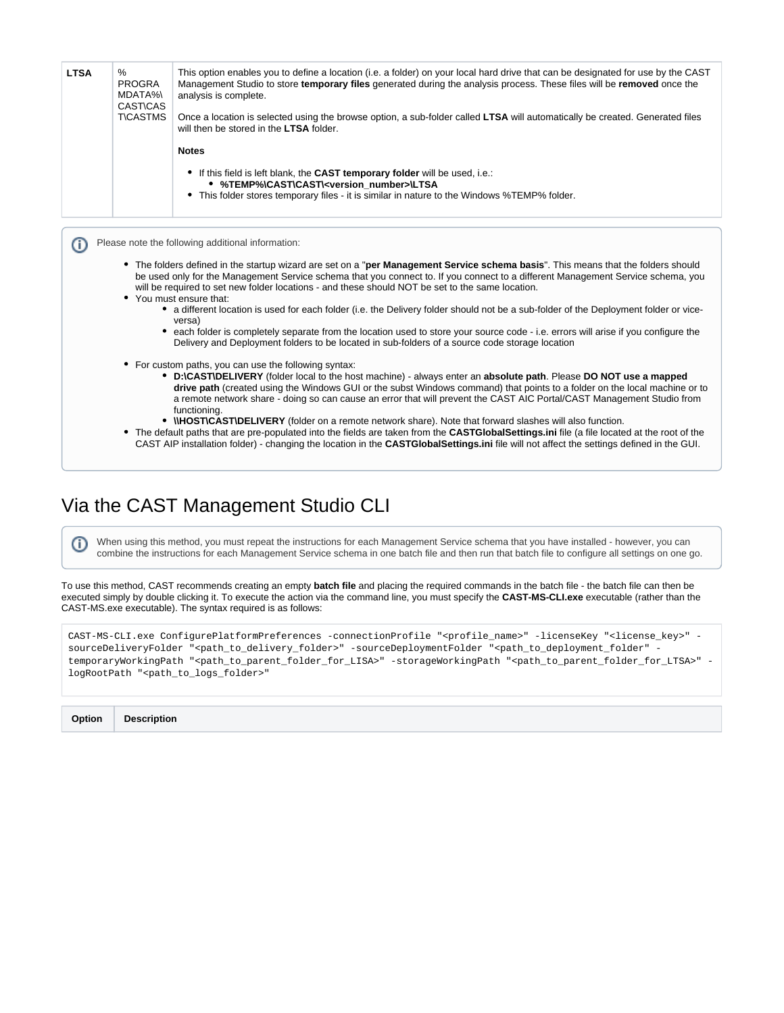| %<br><b>PROGRA</b><br>MDATA%\<br><b>CAST\CAS</b><br><b>T\CASTMS</b> | This option enables you to define a location (i.e. a folder) on your local hard drive that can be designated for use by the CAST<br>Management Studio to store temporary files generated during the analysis process. These files will be removed once the<br>analysis is complete.<br>Once a location is selected using the browse option, a sub-folder called LTSA will automatically be created. Generated files<br>will then be stored in the LTSA folder.                                                          |
|---------------------------------------------------------------------|-------------------------------------------------------------------------------------------------------------------------------------------------------------------------------------------------------------------------------------------------------------------------------------------------------------------------------------------------------------------------------------------------------------------------------------------------------------------------------------------------------------------------|
|                                                                     | <b>Notes</b>                                                                                                                                                                                                                                                                                                                                                                                                                                                                                                            |
|                                                                     | • If this field is left blank, the CAST temporary folder will be used, i.e.:<br>• %TEMP%\CAST\CAST\ <version_number>\LTSA<br/>• This folder stores temporary files - it is similar in nature to the Windows %TEMP% folder.</version_number>                                                                                                                                                                                                                                                                             |
|                                                                     | • The folders defined in the startup wizard are set on a "per Management Service schema basis". This means that the folders should<br>be used only for the Management Service schema that you connect to. If you connect to a different Management Service schema, you                                                                                                                                                                                                                                                  |
|                                                                     | will be required to set new folder locations - and these should NOT be set to the same location.<br>• You must ensure that:<br>• a different location is used for each folder (i.e. the Delivery folder should not be a sub-folder of the Deployment folder or vice-<br>versa)<br>• each folder is completely separate from the location used to store your source code - i.e. errors will arise if you configure the<br>Delivery and Deployment folders to be located in sub-folders of a source code storage location |

# <span id="page-4-0"></span>Via the CAST Management Studio CLI

When using this method, you must repeat the instructions for each Management Service schema that you have installed - however, you can combine the instructions for each Management Service schema in one batch file and then run that batch file to configure all settings on one go.

To use this method, CAST recommends creating an empty **batch file** and placing the required commands in the batch file - the batch file can then be executed simply by double clicking it. To execute the action via the command line, you must specify the **CAST-MS-CLI.exe** executable (rather than the CAST-MS.exe executable). The syntax required is as follows:

| CAST-MS-CLI.exe ConfigurePlatformPreferences -connectionProfile " <profile name="">" -licenseKey "<license key="">" -</license></profile>                                           |
|-------------------------------------------------------------------------------------------------------------------------------------------------------------------------------------|
| sourceDeliveryFolder " <path_to_delivery_folder>" -sourceDeploymentFolder "<path_to_deployment_folder" -<="" td=""></path_to_deployment_folder"></path_to_delivery_folder>          |
| temporaryWorkingPath " <path_to_parent_folder_for_lisa>" -storageWorkingPath "<path_to_parent_folder_for_ltsa>" -</path_to_parent_folder_for_ltsa></path_to_parent_folder_for_lisa> |
| logRootPath " <path_to_logs_folder>"</path_to_logs_folder>                                                                                                                          |

| <b>Option</b> | <b>Description</b> |
|---------------|--------------------|
|               |                    |

⊙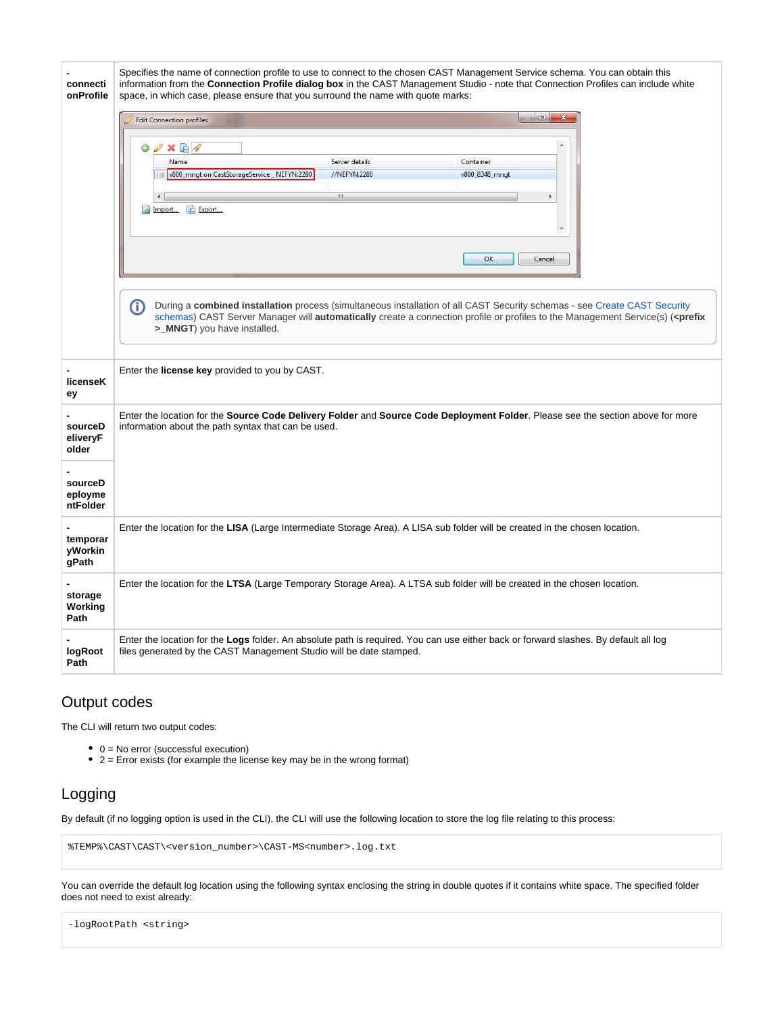| connecti<br>onProfile                                          | Specifies the name of connection profile to use to connect to the chosen CAST Management Service schema. You can obtain this<br>information from the Connection Profile dialog box in the CAST Management Studio - note that Connection Profiles can include white<br>space, in which case, please ensure that you surround the name with quote marks:<br>$\Box$<br>$\mathbf{x}$<br><b>Edit Connection profiles</b><br>$\mathscr{S} \times \mathbb{R}$<br>◎<br>Name<br>Server details<br>Container<br>v800_mngt on CastStorageService _ NEFYN:2280<br>//NEFYN:2280<br>v800 8348 mngt<br>Ŀз<br>$\leftarrow$<br>$\mathbf{m}$<br>٠<br>Import<br>Export<br>۳<br>OK<br>Cancel<br>⋒<br>During a combined installation process (simultaneous installation of all CAST Security schemas - see Create CAST Security<br>schemas) CAST Server Manager will automatically create a connection profile or profiles to the Management Service(s) ( <prefix<br>&gt;_MNGT) you have installed.</prefix<br> |
|----------------------------------------------------------------|--------------------------------------------------------------------------------------------------------------------------------------------------------------------------------------------------------------------------------------------------------------------------------------------------------------------------------------------------------------------------------------------------------------------------------------------------------------------------------------------------------------------------------------------------------------------------------------------------------------------------------------------------------------------------------------------------------------------------------------------------------------------------------------------------------------------------------------------------------------------------------------------------------------------------------------------------------------------------------------------|
| licenseK<br>ey                                                 | Enter the license key provided to you by CAST.                                                                                                                                                                                                                                                                                                                                                                                                                                                                                                                                                                                                                                                                                                                                                                                                                                                                                                                                             |
| sourceD<br>eliveryF<br>older<br>sourceD<br>eployme<br>ntFolder | Enter the location for the Source Code Delivery Folder and Source Code Deployment Folder. Please see the section above for more<br>information about the path syntax that can be used.                                                                                                                                                                                                                                                                                                                                                                                                                                                                                                                                                                                                                                                                                                                                                                                                     |
| temporar<br>yWorkin<br>gPath                                   | Enter the location for the LISA (Large Intermediate Storage Area). A LISA sub folder will be created in the chosen location.                                                                                                                                                                                                                                                                                                                                                                                                                                                                                                                                                                                                                                                                                                                                                                                                                                                               |
| storage<br>Working<br>Path                                     | Enter the location for the LTSA (Large Temporary Storage Area). A LTSA sub folder will be created in the chosen location.                                                                                                                                                                                                                                                                                                                                                                                                                                                                                                                                                                                                                                                                                                                                                                                                                                                                  |
| logRoot<br>Path                                                | Enter the location for the Logs folder. An absolute path is required. You can use either back or forward slashes. By default all log<br>files generated by the CAST Management Studio will be date stamped.                                                                                                                                                                                                                                                                                                                                                                                                                                                                                                                                                                                                                                                                                                                                                                                |

### <span id="page-5-0"></span>Output codes

The CLI will return two output codes:

- 0 = No error (successful execution)
- 2 = Error exists (for example the license key may be in the wrong format)

### <span id="page-5-1"></span>Logging

By default (if no logging option is used in the CLI), the CLI will use the following location to store the log file relating to this process:

```
%TEMP%\CAST\CAST\<version_number>\CAST-MS<number>.log.txt
```
You can override the default log location using the following syntax enclosing the string in double quotes if it contains white space. The specified folder does not need to exist already:

<span id="page-5-2"></span>-logRootPath <string>